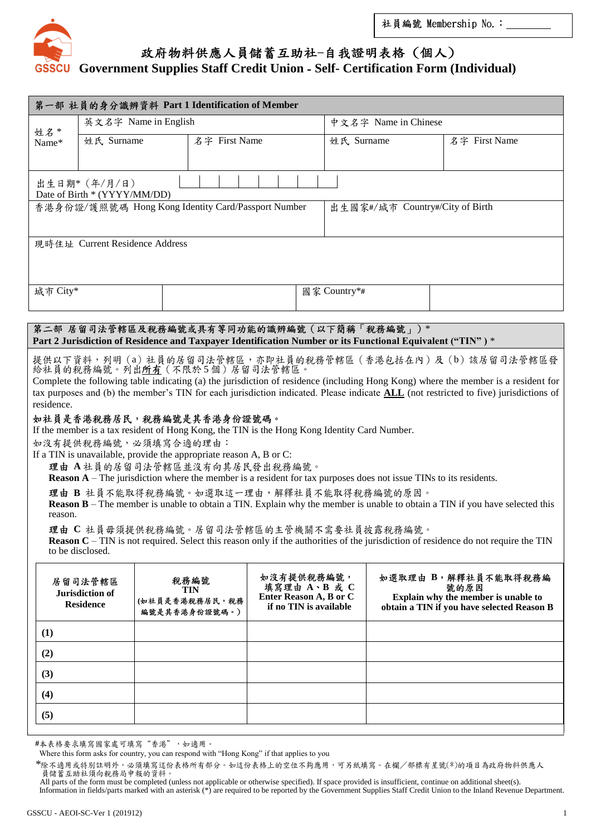

## 政府物料供應人員儲蓄互助社-自我證明表格(個人)

## **Government Supplies Staff Credit Union** - **Self- Certification Form (Individual)**

| 第一部 社員的身分識辨資料 Part 1 Identification of Member                                                                                                                                                                                                                                                                                                                                                                                                                                                                                                                                                                                                                                                                                                                                                                                                                                                                                                                                                                                                                                                                                                                                              |                                                |  |                                                    |                                                                                |  |                                 |  |                                                                                                                  |
|--------------------------------------------------------------------------------------------------------------------------------------------------------------------------------------------------------------------------------------------------------------------------------------------------------------------------------------------------------------------------------------------------------------------------------------------------------------------------------------------------------------------------------------------------------------------------------------------------------------------------------------------------------------------------------------------------------------------------------------------------------------------------------------------------------------------------------------------------------------------------------------------------------------------------------------------------------------------------------------------------------------------------------------------------------------------------------------------------------------------------------------------------------------------------------------------|------------------------------------------------|--|----------------------------------------------------|--------------------------------------------------------------------------------|--|---------------------------------|--|------------------------------------------------------------------------------------------------------------------|
| 姓名 *                                                                                                                                                                                                                                                                                                                                                                                                                                                                                                                                                                                                                                                                                                                                                                                                                                                                                                                                                                                                                                                                                                                                                                                       | 英文名字 Name in English                           |  |                                                    |                                                                                |  | 中文名字 Name in Chinese            |  |                                                                                                                  |
| Name*                                                                                                                                                                                                                                                                                                                                                                                                                                                                                                                                                                                                                                                                                                                                                                                                                                                                                                                                                                                                                                                                                                                                                                                      | 姓氏 Surname                                     |  | 名字 First Name                                      |                                                                                |  | 姓氏 Surname                      |  | 名字 First Name                                                                                                    |
|                                                                                                                                                                                                                                                                                                                                                                                                                                                                                                                                                                                                                                                                                                                                                                                                                                                                                                                                                                                                                                                                                                                                                                                            |                                                |  |                                                    |                                                                                |  |                                 |  |                                                                                                                  |
| 出生日期* (年/月/日)<br>Date of Birth * (YYYY/MM/DD)                                                                                                                                                                                                                                                                                                                                                                                                                                                                                                                                                                                                                                                                                                                                                                                                                                                                                                                                                                                                                                                                                                                                              |                                                |  |                                                    |                                                                                |  |                                 |  |                                                                                                                  |
|                                                                                                                                                                                                                                                                                                                                                                                                                                                                                                                                                                                                                                                                                                                                                                                                                                                                                                                                                                                                                                                                                                                                                                                            |                                                |  | 香港身份證/護照號碼 Hong Kong Identity Card/Passport Number |                                                                                |  | 出生國家#/城市 Country#/City of Birth |  |                                                                                                                  |
| 現時住址 Current Residence Address                                                                                                                                                                                                                                                                                                                                                                                                                                                                                                                                                                                                                                                                                                                                                                                                                                                                                                                                                                                                                                                                                                                                                             |                                                |  |                                                    |                                                                                |  |                                 |  |                                                                                                                  |
| 城市 City*                                                                                                                                                                                                                                                                                                                                                                                                                                                                                                                                                                                                                                                                                                                                                                                                                                                                                                                                                                                                                                                                                                                                                                                   |                                                |  |                                                    |                                                                                |  | 國家 Country*#                    |  |                                                                                                                  |
| 第二部 居留司法管轄區及稅務編號或具有等同功能的識辨編號(以下簡稱「稅務編號」)*<br>Part 2 Jurisdiction of Residence and Taxpayer Identification Number or its Functional Equivalent ("TIN") *                                                                                                                                                                                                                                                                                                                                                                                                                                                                                                                                                                                                                                                                                                                                                                                                                                                                                                                                                                                                                                    |                                                |  |                                                    |                                                                                |  |                                 |  |                                                                                                                  |
| 提供以下資料,列明(a)社員的居留司法管轄區,亦即社員的稅務管轄區(香港包括在內)及(b)該居留司法管轄區發<br>給社員的稅務編號。列出所有(不限於5個)居留司法管轄區。<br>Complete the following table indicating (a) the jurisdiction of residence (including Hong Kong) where the member is a resident for<br>tax purposes and (b) the member's TIN for each jurisdiction indicated. Please indicate <b>ALL</b> (not restricted to five) jurisdictions of<br>residence.<br>如社員是香港稅務居民,稅務編號是其香港身份證號碼。<br>If the member is a tax resident of Hong Kong, the TIN is the Hong Kong Identity Card Number.<br>如沒有提供稅務編號,必須填寫合適的理由:<br>If a TIN is unavailable, provide the appropriate reason A, B or C:<br>理由 A社員的居留司法管轄區並沒有向其居民發出稅務編號。<br><b>Reason A</b> – The jurisdiction where the member is a resident for tax purposes does not issue TINs to its residents.<br>理由 B 社員不能取得稅務編號。如選取這一理由,解釋社員不能取得稅務編號的原因。<br><b>Reason B</b> – The member is unable to obtain a TIN. Explain why the member is unable to obtain a TIN if you have selected this<br>reason.<br>理由 C 社員毋須提供稅務編號。居留司法管轄區的主管機關不需要社員披露稅務編號。<br><b>Reason C</b> – TIN is not required. Select this reason only if the authorities of the jurisdiction of residence do not require the TIN<br>to be disclosed. |                                                |  |                                                    |                                                                                |  |                                 |  |                                                                                                                  |
|                                                                                                                                                                                                                                                                                                                                                                                                                                                                                                                                                                                                                                                                                                                                                                                                                                                                                                                                                                                                                                                                                                                                                                                            | 居留司法管轄區<br>Jurisdiction of<br><b>Residence</b> |  | 稅務編號<br>TIN<br>(如社員是香港稅務居民,稅務<br>編號是其香港身份證號碼。)     | 如沒有提供稅務編號,<br>填寫理由 A、B 或 C<br>Enter Reason A, B or C<br>if no TIN is available |  |                                 |  | 如選取理由 B,解釋社員不能取得稅務編<br>號的原因<br>Explain why the member is unable to<br>obtain a TIN if you have selected Reason B |
| (1)                                                                                                                                                                                                                                                                                                                                                                                                                                                                                                                                                                                                                                                                                                                                                                                                                                                                                                                                                                                                                                                                                                                                                                                        |                                                |  |                                                    |                                                                                |  |                                 |  |                                                                                                                  |
| (2)                                                                                                                                                                                                                                                                                                                                                                                                                                                                                                                                                                                                                                                                                                                                                                                                                                                                                                                                                                                                                                                                                                                                                                                        |                                                |  |                                                    |                                                                                |  |                                 |  |                                                                                                                  |
| (3)                                                                                                                                                                                                                                                                                                                                                                                                                                                                                                                                                                                                                                                                                                                                                                                                                                                                                                                                                                                                                                                                                                                                                                                        |                                                |  |                                                    |                                                                                |  |                                 |  |                                                                                                                  |
| (4)                                                                                                                                                                                                                                                                                                                                                                                                                                                                                                                                                                                                                                                                                                                                                                                                                                                                                                                                                                                                                                                                                                                                                                                        |                                                |  |                                                    |                                                                                |  |                                 |  |                                                                                                                  |
| (5)                                                                                                                                                                                                                                                                                                                                                                                                                                                                                                                                                                                                                                                                                                                                                                                                                                                                                                                                                                                                                                                                                                                                                                                        |                                                |  |                                                    |                                                                                |  |                                 |  |                                                                                                                  |
|                                                                                                                                                                                                                                                                                                                                                                                                                                                                                                                                                                                                                                                                                                                                                                                                                                                                                                                                                                                                                                                                                                                                                                                            |                                                |  |                                                    |                                                                                |  |                                 |  |                                                                                                                  |

#本表格要求填寫國家處可填寫"香港",如適用。

Where this form asks for country, you can respond with "Hong Kong" if that applies to you

。<br>\*除不適用或特別註明外,必須填寫這份表格所有部分。如這份表格上的空位不夠應用,可另紙填寫。在欄/部標有星號(\*)的項目為政府物料供應人<br>- 員儲蓄互助社須向稅務局申報的資料。

All parts of the form must be completed (unless not applicable or otherwise specified). If space provided is insufficient, continue on additional sheet(s). Information in fields/parts marked with an asterisk (\*) are required to be reported by the Government Supplies Staff Credit Union to the Inland Revenue Department.